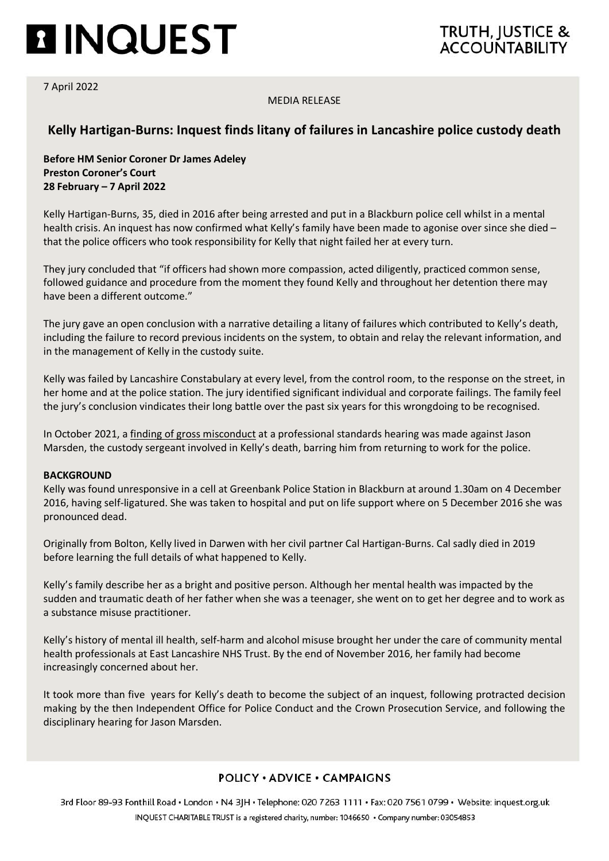

7 April 2022

#### MEDIA RELEASE

## **Kelly Hartigan-Burns: Inquest finds litany of failures in Lancashire police custody death**

### **Before HM Senior Coroner Dr James Adeley Preston Coroner's Court 28 February – 7 April 2022**

Kelly Hartigan-Burns, 35, died in 2016 after being arrested and put in a Blackburn police cell whilst in a mental health crisis. An inquest has now confirmed what Kelly's family have been made to agonise over since she died – that the police officers who took responsibility for Kelly that night failed her at every turn.

They jury concluded that "if officers had shown more compassion, acted diligently, practiced common sense, followed guidance and procedure from the moment they found Kelly and throughout her detention there may have been a different outcome."

The jury gave an open conclusion with a narrative detailing a litany of failures which contributed to Kelly's death, including the failure to record previous incidents on the system, to obtain and relay the relevant information, and in the management of Kelly in the custody suite.

Kelly was failed by Lancashire Constabulary at every level, from the control room, to the response on the street, in her home and at the police station. The jury identified significant individual and corporate failings. The family feel the jury's conclusion vindicates their long battle over the past six years for this wrongdoing to be recognised.

In October 2021, a [finding of gross misconduct](https://www.inquest.org.uk/kelly-hartigan-burns-misconduct-found) at a professional standards hearing was made against Jason Marsden, the custody sergeant involved in Kelly's death, barring him from returning to work for the police.

#### **BACKGROUND**

Kelly was found unresponsive in a cell at Greenbank Police Station in Blackburn at around 1.30am on 4 December 2016, having self-ligatured. She was taken to hospital and put on life support where on 5 December 2016 she was pronounced dead.

Originally from Bolton, Kelly lived in Darwen with her civil partner Cal Hartigan-Burns. Cal sadly died in 2019 before learning the full details of what happened to Kelly.

Kelly's family describe her as a bright and positive person. Although her mental health was impacted by the sudden and traumatic death of her father when she was a teenager, she went on to get her degree and to work as a substance misuse practitioner.

Kelly's history of mental ill health, self-harm and alcohol misuse brought her under the care of community mental health professionals at East Lancashire NHS Trust. By the end of November 2016, her family had become increasingly concerned about her.

It took more than five years for Kelly's death to become the subject of an inquest, following protracted decision making by the then Independent Office for Police Conduct and the Crown Prosecution Service, and following the disciplinary hearing for Jason Marsden.

### POLICY · ADVICE · CAMPAIGNS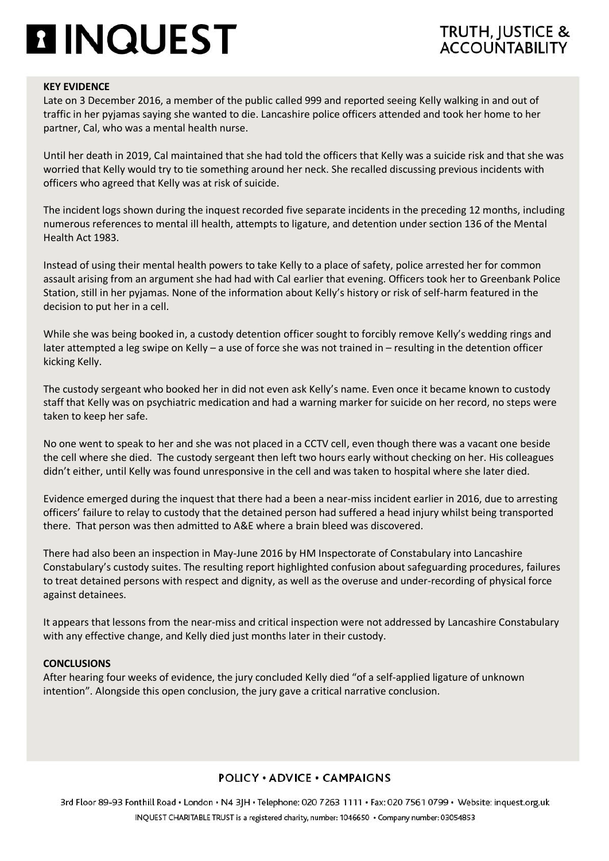# **EINQUEST**

## **TRUTH, JUSTICE & ACCOUNTABILITY**

#### **KEY EVIDENCE**

Late on 3 December 2016, a member of the public called 999 and reported seeing Kelly walking in and out of traffic in her pyjamas saying she wanted to die. Lancashire police officers attended and took her home to her partner, Cal, who was a mental health nurse.

Until her death in 2019, Cal maintained that she had told the officers that Kelly was a suicide risk and that she was worried that Kelly would try to tie something around her neck. She recalled discussing previous incidents with officers who agreed that Kelly was at risk of suicide.

The incident logs shown during the inquest recorded five separate incidents in the preceding 12 months, including numerous references to mental ill health, attempts to ligature, and detention under section 136 of the Mental Health Act 1983.

Instead of using their mental health powers to take Kelly to a place of safety, police arrested her for common assault arising from an argument she had had with Cal earlier that evening. Officers took her to Greenbank Police Station, still in her pyjamas. None of the information about Kelly's history or risk of self-harm featured in the decision to put her in a cell.

While she was being booked in, a custody detention officer sought to forcibly remove Kelly's wedding rings and later attempted a leg swipe on Kelly – a use of force she was not trained in – resulting in the detention officer kicking Kelly.

The custody sergeant who booked her in did not even ask Kelly's name. Even once it became known to custody staff that Kelly was on psychiatric medication and had a warning marker for suicide on her record, no steps were taken to keep her safe.

No one went to speak to her and she was not placed in a CCTV cell, even though there was a vacant one beside the cell where she died. The custody sergeant then left two hours early without checking on her. His colleagues didn't either, until Kelly was found unresponsive in the cell and was taken to hospital where she later died.

Evidence emerged during the inquest that there had a been a near-miss incident earlier in 2016, due to arresting officers' failure to relay to custody that the detained person had suffered a head injury whilst being transported there. That person was then admitted to A&E where a brain bleed was discovered.

There had also been an inspection in May-June 2016 by HM Inspectorate of Constabulary into Lancashire Constabulary's custody suites. The resulting report highlighted confusion about safeguarding procedures, failures to treat detained persons with respect and dignity, as well as the overuse and under-recording of physical force against detainees.

It appears that lessons from the near-miss and critical inspection were not addressed by Lancashire Constabulary with any effective change, and Kelly died just months later in their custody.

#### **CONCLUSIONS**

After hearing four weeks of evidence, the jury concluded Kelly died "of a self-applied ligature of unknown intention". Alongside this open conclusion, the jury gave a critical narrative conclusion.

## POLICY · ADVICE · CAMPAIGNS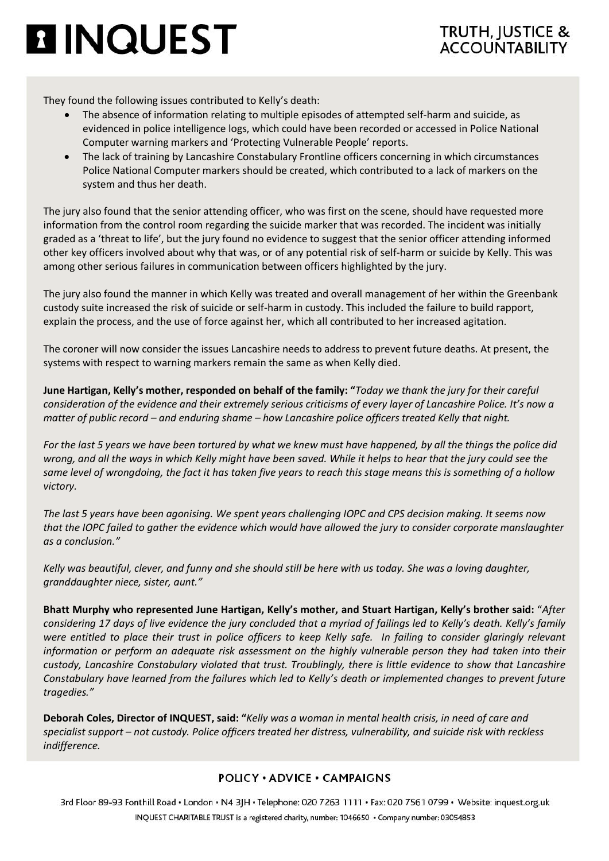# **EINQUEST**

## **TRUTH, JUSTICE & ACCOUNTABILITY**

They found the following issues contributed to Kelly's death:

- The absence of information relating to multiple episodes of attempted self-harm and suicide, as evidenced in police intelligence logs, which could have been recorded or accessed in Police National Computer warning markers and 'Protecting Vulnerable People' reports.
- The lack of training by Lancashire Constabulary Frontline officers concerning in which circumstances Police National Computer markers should be created, which contributed to a lack of markers on the system and thus her death.

The jury also found that the senior attending officer, who was first on the scene, should have requested more information from the control room regarding the suicide marker that was recorded. The incident was initially graded as a 'threat to life', but the jury found no evidence to suggest that the senior officer attending informed other key officers involved about why that was, or of any potential risk of self-harm or suicide by Kelly. This was among other serious failures in communication between officers highlighted by the jury.

The jury also found the manner in which Kelly was treated and overall management of her within the Greenbank custody suite increased the risk of suicide or self-harm in custody. This included the failure to build rapport, explain the process, and the use of force against her, which all contributed to her increased agitation.

The coroner will now consider the issues Lancashire needs to address to prevent future deaths. At present, the systems with respect to warning markers remain the same as when Kelly died.

**June Hartigan, Kelly's mother, responded on behalf of the family: "***Today we thank the jury for their careful consideration of the evidence and their extremely serious criticisms of every layer of Lancashire Police. It's now a matter of public record – and enduring shame – how Lancashire police officers treated Kelly that night.* 

*For the last 5 years we have been tortured by what we knew must have happened, by all the things the police did wrong, and all the ways in which Kelly might have been saved. While it helps to hear that the jury could see the same level of wrongdoing, the fact it has taken five years to reach this stage means this is something of a hollow victory.* 

*The last 5 years have been agonising. We spent years challenging IOPC and CPS decision making. It seems now that the IOPC failed to gather the evidence which would have allowed the jury to consider corporate manslaughter as a conclusion."*

*Kelly was beautiful, clever, and funny and she should still be here with us today. She was a loving daughter, granddaughter niece, sister, aunt."*

**Bhatt Murphy who represented June Hartigan, Kelly's mother, and Stuart Hartigan, Kelly's brother said:** "*After considering 17 days of live evidence the jury concluded that a myriad of failings led to Kelly's death. Kelly's family*  were entitled to place their trust in police officers to keep Kelly safe. In failing to consider glaringly relevant *information or perform an adequate risk assessment on the highly vulnerable person they had taken into their custody, Lancashire Constabulary violated that trust. Troublingly, there is little evidence to show that Lancashire Constabulary have learned from the failures which led to Kelly's death or implemented changes to prevent future tragedies."*

**Deborah Coles, Director of INQUEST, said: "***Kelly was a woman in mental health crisis, in need of care and specialist support – not custody. Police officers treated her distress, vulnerability, and suicide risk with reckless indifference.* 

## POLICY · ADVICE · CAMPAIGNS